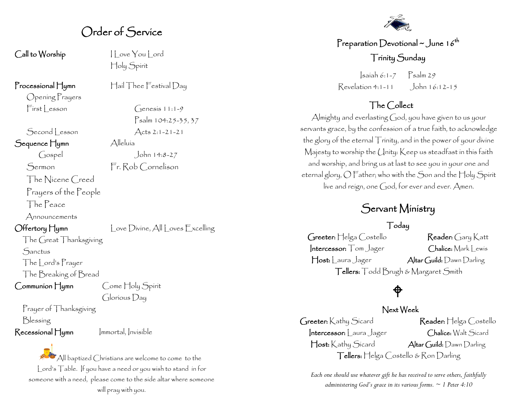## Order of Service

Call to Worship I Love You Lord

Processional Hymn Hail Thee Festival Day

Opening Prayers  $First| reson$  Genesis 11:1-9

 $Second$  esson  $Acts 2:1-21-21$ 

Sequence Hymn Alleluía

The Nicene Creed

Prayers of the People

The Peace

Announcements

Offertory Hymn Love Divine, All Loves Excelling

The Great Thanksgiving **Sanctus** 

The Lord's Prayer

The Breaking of Bread

Communion Hymn Come Holy Spirit Glorious Day

Prayer of Thanksgiving

Blessing

Recessional Hymn Immortal, Invisible

 $A$ ll baptized Christians are welcome to come to the Lord's Table. If you have a need or you wish to stand in for someone with a need, please come to the side altar where someone will pray with you.

### Preparation Devotional  $\sim$  June 16<sup>th</sup> Trinity Sunday

Isaiah 6:1-7 Psalm 29 Revelation 4:1-11 John 16:12-15

### The Collect

Almighty and everlasting God, you have given to us your servants grace, by the confession of a true faith, to acknowledge the glory of the eternal Trinity, and in the power of your divine Majesty to worship the Unity: Keep us steadfast in this faith and worship, and bring us at last to see you in your one and eternal glory, O Father; who with the Son and the Holy Spirit live and reign, one God, for ever and ever. Amen.

# Servant Ministry

#### Today

Greeter: Helga Costello Reader: Gary Katt Intercessor: Tom Jager Chalice: Mark Lewis Host: Laura Jager Altar Guild: Dawn Darling Tellers: Todd Brugh & Margaret Smith

# $\hat{\phi}$

#### Next Week

Greeter: Kathy Sicard Reader: Helga Costello Intercessor: Laura Jager Chalice: Walt Sicard Host: Kathy Sicard Altar Guild: Dawn Darling Tellers: Helga Costello & Ron Darling

*Each one should use whatever gift he has received to serve others, faithfully administering God's grace in its various forms. ~ 1 Peter 4:10*

Holy Spirit

Psalm 104:25-35, 37

Gospel John 14:8-27 Sermon Fr. Rob Cornelison